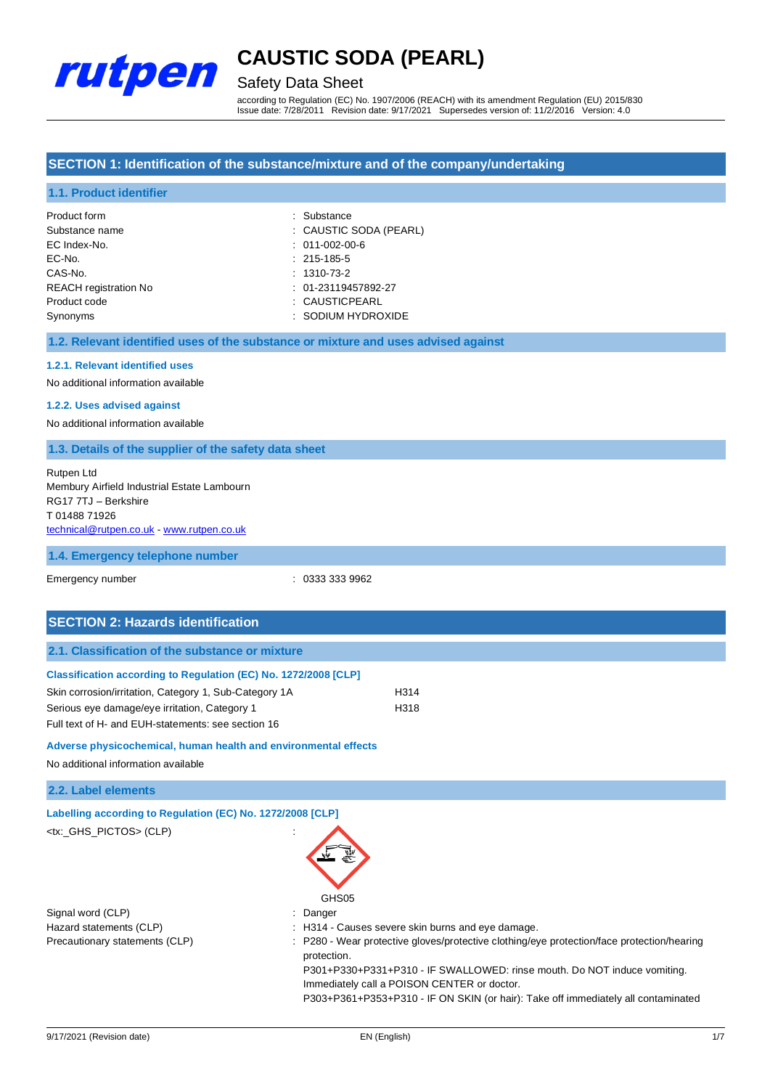

# Safety Data Sheet

according to Regulation (EC) No. 1907/2006 (REACH) with its amendment Regulation (EU) 2015/830 Issue date: 7/28/2011 Revision date: 9/17/2021 Supersedes version of: 11/2/2016 Version: 4.0

## **SECTION 1: Identification of the substance/mixture and of the company/undertaking**

## **1.1. Product identifier**

| Product form                 |
|------------------------------|
| Substance name               |
| EC Index-No.                 |
| EC-No.                       |
| CAS-No.                      |
| <b>REACH registration No</b> |
| Product code                 |
| Synonyms                     |

duct form  $\qquad \qquad$ : Substance : CAUSTIC SODA (PEARL)  $: 011 - 002 - 00 - 6$  $.215 - 185 - 5$  $: 1310 - 73 - 2$  $: 01-23119457892-27$ : CAUSTICPEARL

Synonyms : SODIUM HYDROXIDE

#### **1.2. Relevant identified uses of the substance or mixture and uses advised against**

#### **1.2.1. Relevant identified uses**

No additional information available

### **1.2.2. Uses advised against**

No additional information available

#### **1.3. Details of the supplier of the safety data sheet**

#### Rutpen Ltd Membury Airfield Industrial Estate Lambourn RG17 7TJ – Berkshire T 01488 71926 [technical@rutpen.co.uk](mailto:technical@rutpen.co.uk) - [www.rutpen.co.uk](http://www.rutpen.co.uk/)

#### **1.4. Emergency telephone number**

Emergency number : 0333 333 9962

| <b>SECTION 2: Hazards identification</b>                               |      |
|------------------------------------------------------------------------|------|
| 2.1. Classification of the substance or mixture                        |      |
| <b>Classification according to Regulation (EC) No. 1272/2008 [CLP]</b> |      |
| Skin corrosion/irritation, Category 1, Sub-Category 1A                 | H314 |
| Serious eye damage/eye irritation, Category 1                          | H318 |
| Full text of H- and EUH-statements: see section 16                     |      |

#### **Adverse physicochemical, human health and environmental effects**

No additional information available

#### **2.2. Label elements**

**Labelling according to Regulation (EC) No. 1272/2008 [CLP]**

<tx:\_GHS\_PICTOS> (CLP)



Signal word (CLP)  $\qquad \qquad$ : Danger

- Hazard statements (CLP)  $\qquad \qquad$ : H314 Causes severe skin burns and eye damage.
- 
- Precautionary statements (CLP) : P280 Wear protective gloves/protective clothing/eye protection/face protection/hearing protection.
	- P301+P330+P331+P310 IF SWALLOWED: rinse mouth. Do NOT induce vomiting. Immediately call a POISON CENTER or doctor.

P303+P361+P353+P310 - IF ON SKIN (or hair): Take off immediately all contaminated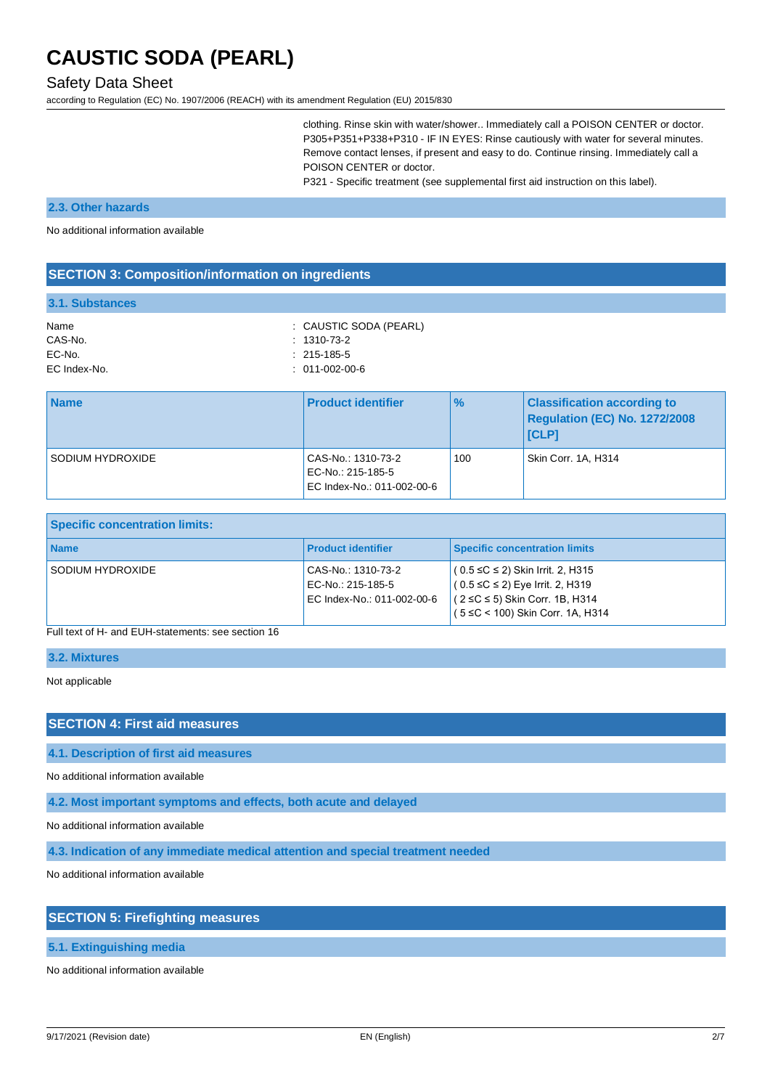# Safety Data Sheet

according to Regulation (EC) No. 1907/2006 (REACH) with its amendment Regulation (EU) 2015/830

clothing. Rinse skin with water/shower.. Immediately call a POISON CENTER or doctor. P305+P351+P338+P310 - IF IN EYES: Rinse cautiously with water for several minutes. Remove contact lenses, if present and easy to do. Continue rinsing. Immediately call a POISON CENTER or doctor.

P321 - Specific treatment (see supplemental first aid instruction on this label).

#### **2.3. Other hazards**

No additional information available

## **SECTION 3: Composition/information on ingredients**

#### **3.1. Substances**

| Name         | : CAUSTIC SODA (PEARL) |
|--------------|------------------------|
| CAS-No.      | $: 1310 - 73 - 2$      |
| EC-No.       | $: 215 - 185 - 5$      |
| EC Index-No. | : 011-002-00-6         |

| <b>Name</b>      | <b>Product identifier</b>                                             | $\frac{9}{6}$ | <b>Classification according to</b><br>Regulation (EC) No. 1272/2008<br><b>ICLPI</b> |
|------------------|-----------------------------------------------------------------------|---------------|-------------------------------------------------------------------------------------|
| SODIUM HYDROXIDE | CAS-No.: 1310-73-2<br>EC-No.: 215-185-5<br>EC Index-No.: 011-002-00-6 | 100           | Skin Corr. 1A, H314                                                                 |

| <b>Specific concentration limits:</b> |                                                                       |                                                                                                                                                              |
|---------------------------------------|-----------------------------------------------------------------------|--------------------------------------------------------------------------------------------------------------------------------------------------------------|
| <b>Name</b>                           | <b>Product identifier</b>                                             | <b>Specific concentration limits</b>                                                                                                                         |
| SODIUM HYDROXIDE                      | CAS-No.: 1310-73-2<br>EC-No.: 215-185-5<br>EC Index-No.: 011-002-00-6 | $(0.5 ≤ C ≤ 2)$ Skin Irrit. 2, H315<br>$(0.5 \le C \le 2)$ Eye Irrit. 2, H319<br>$(2 \leq C \leq 5)$ Skin Corr. 1B, H314<br>(5 ≤C < 100) Skin Corr. 1A, H314 |

Full text of H- and EUH-statements: see section 16

#### **3.2. Mixtures**

Not applicable

### **SECTION 4: First aid measures**

#### **4.1. Description of first aid measures**

No additional information available

**4.2. Most important symptoms and effects, both acute and delayed**

No additional information available

**4.3. Indication of any immediate medical attention and special treatment needed**

No additional information available

## **SECTION 5: Firefighting measures**

**5.1. Extinguishing media**

No additional information available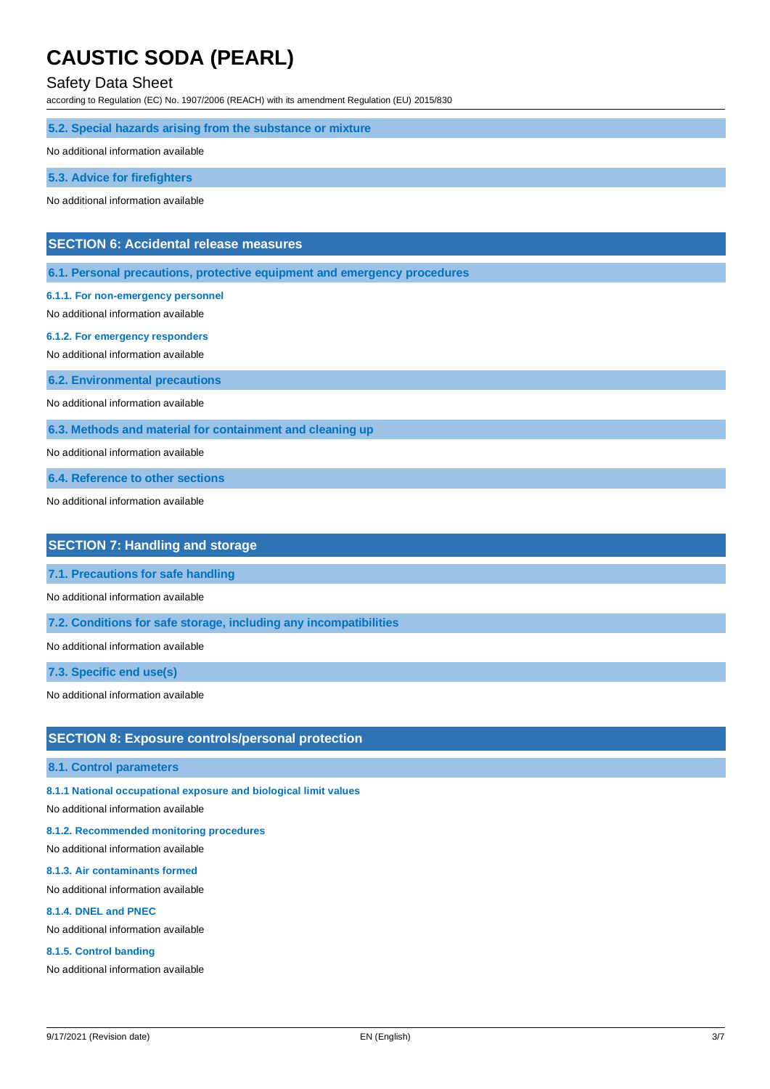# Safety Data Sheet

according to Regulation (EC) No. 1907/2006 (REACH) with its amendment Regulation (EU) 2015/830

#### **5.2. Special hazards arising from the substance or mixture**

No additional information available

**5.3. Advice for firefighters**

No additional information available

## **SECTION 6: Accidental release measures**

**6.1. Personal precautions, protective equipment and emergency procedures**

#### **6.1.1. For non-emergency personnel**

No additional information available

# **6.1.2. For emergency responders**

No additional information available

**6.2. Environmental precautions**

No additional information available

**6.3. Methods and material for containment and cleaning up**

No additional information available

**6.4. Reference to other sections**

No additional information available

## **SECTION 7: Handling and storage**

**7.1. Precautions for safe handling**

No additional information available

**7.2. Conditions for safe storage, including any incompatibilities**

No additional information available

**7.3. Specific end use(s)**

No additional information available

## **SECTION 8: Exposure controls/personal protection**

#### **8.1. Control parameters**

**8.1.1 National occupational exposure and biological limit values**

No additional information available

**8.1.2. Recommended monitoring procedures**

No additional information available

#### **8.1.3. Air contaminants formed**

No additional information available

### **8.1.4. DNEL and PNEC**

No additional information available

#### **8.1.5. Control banding**

No additional information available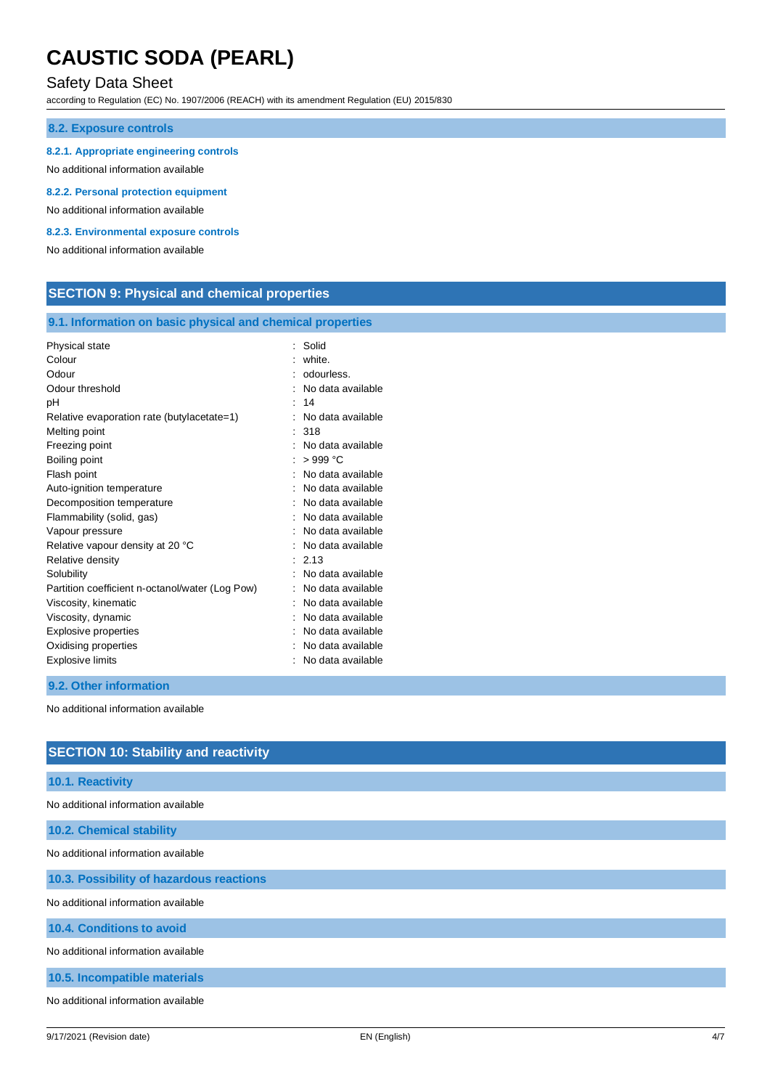# Safety Data Sheet

according to Regulation (EC) No. 1907/2006 (REACH) with its amendment Regulation (EU) 2015/830

### **8.2. Exposure controls**

**8.2.1. Appropriate engineering controls**

#### No additional information available

**8.2.2. Personal protection equipment**

No additional information available

#### **8.2.3. Environmental exposure controls**

No additional information available

# **SECTION 9: Physical and chemical properties**

### **9.1. Information on basic physical and chemical properties**

| Physical state                                  | $\ddot{\phantom{a}}$ | Solid             |
|-------------------------------------------------|----------------------|-------------------|
| Colour                                          |                      | white.            |
| Odour                                           |                      | odourless.        |
| Odour threshold                                 |                      | No data available |
| рH                                              |                      | 14                |
| Relative evaporation rate (butylacetate=1)      |                      | No data available |
| Melting point                                   |                      | 318               |
| Freezing point                                  |                      | No data available |
| Boiling point                                   |                      | $>999^{\circ}$ C  |
| Flash point                                     |                      | No data available |
| Auto-ignition temperature                       |                      | No data available |
| Decomposition temperature                       |                      | No data available |
| Flammability (solid, gas)                       |                      | No data available |
| Vapour pressure                                 |                      | No data available |
| Relative vapour density at 20 °C                |                      | No data available |
| Relative density                                |                      | 2.13              |
| Solubility                                      |                      | No data available |
| Partition coefficient n-octanol/water (Log Pow) |                      | No data available |
| Viscosity, kinematic                            |                      | No data available |
| Viscosity, dynamic                              |                      | No data available |
| Explosive properties                            |                      | No data available |
| Oxidising properties                            |                      | No data available |
| <b>Explosive limits</b>                         |                      | No data available |

### **9.2. Other information**

No additional information available

| <b>SECTION 10: Stability and reactivity</b> |
|---------------------------------------------|
| 10.1. Reactivity                            |
| No additional information available         |
| 10.2. Chemical stability                    |
| No additional information available         |
| 10.3. Possibility of hazardous reactions    |
| No additional information available         |
| <b>10.4. Conditions to avoid</b>            |
| No additional information available         |
| 10.5. Incompatible materials                |
| No additional information available         |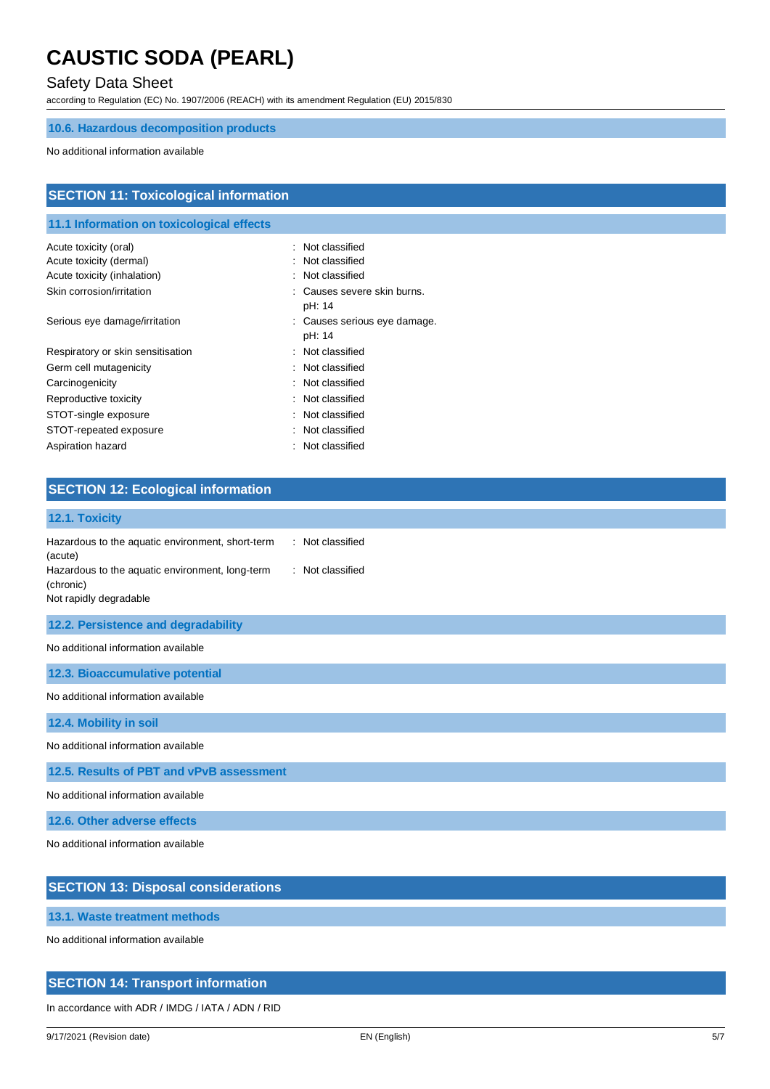# Safety Data Sheet

according to Regulation (EC) No. 1907/2006 (REACH) with its amendment Regulation (EU) 2015/830

# **10.6. Hazardous decomposition products**

No additional information available

| 11.1 Information on toxicological effects |                                        |
|-------------------------------------------|----------------------------------------|
| Acute toxicity (oral)                     | : Not classified                       |
| Acute toxicity (dermal)                   | : Not classified                       |
| Acute toxicity (inhalation)               | : Not classified                       |
| Skin corrosion/irritation                 | : Causes severe skin burns.<br>pH: 14  |
| Serious eye damage/irritation             | : Causes serious eye damage.<br>pH: 14 |
| Respiratory or skin sensitisation         | : Not classified                       |
| Germ cell mutagenicity                    | : Not classified                       |
| Carcinogenicity                           | : Not classified                       |
| Reproductive toxicity                     | : Not classified                       |
| STOT-single exposure                      | : Not classified                       |
| STOT-repeated exposure                    | : Not classified                       |
| Aspiration hazard                         | : Not classified                       |

| 12.1. Toxicity                                                                                                                                                                                |
|-----------------------------------------------------------------------------------------------------------------------------------------------------------------------------------------------|
| Hazardous to the aquatic environment, short-term<br>: Not classified<br>(acute)<br>Hazardous to the aquatic environment, long-term<br>: Not classified<br>(chronic)<br>Not rapidly degradable |
| 12.2. Persistence and degradability                                                                                                                                                           |
| No additional information available                                                                                                                                                           |
| 12.3. Bioaccumulative potential                                                                                                                                                               |
| No additional information available                                                                                                                                                           |
| 12.4. Mobility in soil                                                                                                                                                                        |
| No additional information available                                                                                                                                                           |
| 12.5. Results of PBT and vPvB assessment                                                                                                                                                      |
| No additional information available                                                                                                                                                           |
| 12.6. Other adverse effects                                                                                                                                                                   |
| No additional information available                                                                                                                                                           |

# **SECTION 13: Disposal considerations**

**13.1. Waste treatment methods**

No additional information available

# **SECTION 14: Transport information**

In accordance with ADR / IMDG / IATA / ADN / RID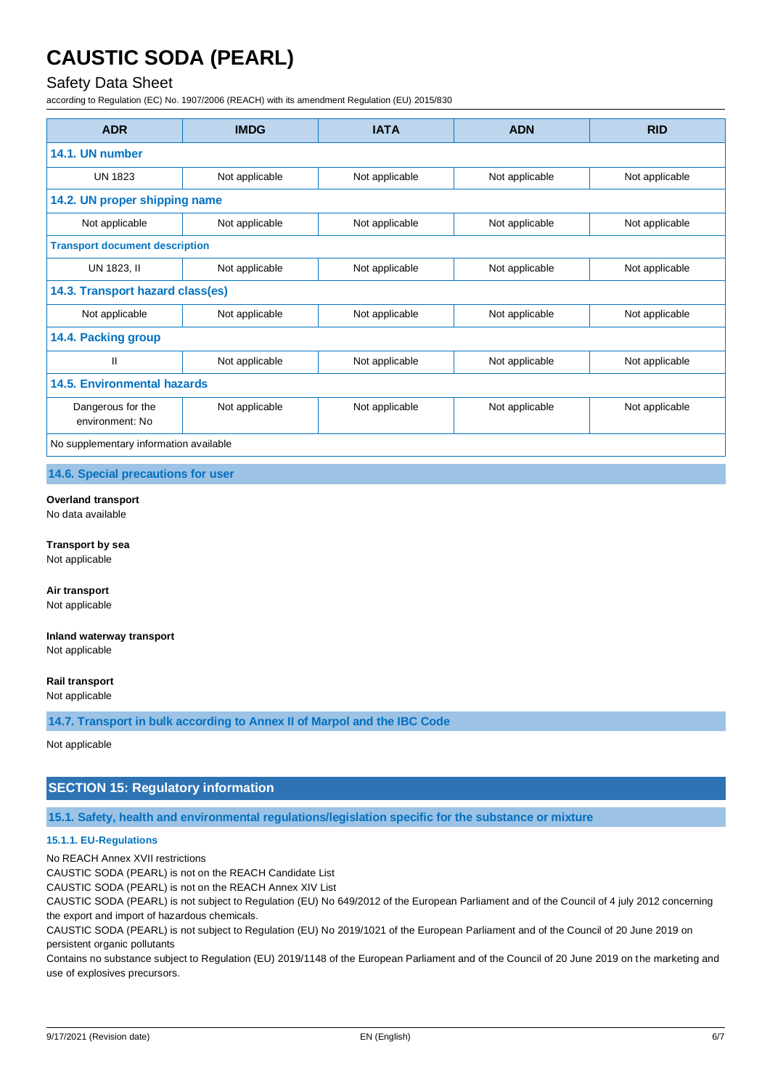# Safety Data Sheet

according to Regulation (EC) No. 1907/2006 (REACH) with its amendment Regulation (EU) 2015/830

| <b>ADR</b>                             | <b>IMDG</b>    | <b>IATA</b>    | <b>ADN</b>     | <b>RID</b>     |
|----------------------------------------|----------------|----------------|----------------|----------------|
| 14.1. UN number                        |                |                |                |                |
| <b>UN 1823</b>                         | Not applicable | Not applicable | Not applicable | Not applicable |
| 14.2. UN proper shipping name          |                |                |                |                |
| Not applicable                         | Not applicable | Not applicable | Not applicable | Not applicable |
| <b>Transport document description</b>  |                |                |                |                |
| UN 1823, II                            | Not applicable | Not applicable | Not applicable | Not applicable |
| 14.3. Transport hazard class(es)       |                |                |                |                |
| Not applicable                         | Not applicable | Not applicable | Not applicable | Not applicable |
| 14.4. Packing group                    |                |                |                |                |
| $\mathbf{I}$                           | Not applicable | Not applicable | Not applicable | Not applicable |
| <b>14.5. Environmental hazards</b>     |                |                |                |                |
| Dangerous for the<br>environment: No   | Not applicable | Not applicable | Not applicable | Not applicable |
| No supplementary information available |                |                |                |                |

**14.6. Special precautions for user**

**Overland transport** No data available

**Transport by sea** Not applicable

**Air transport**

Not applicable

**Inland waterway transport** Not applicable

**Rail transport** Not applicable

**14.7. Transport in bulk according to Annex II of Marpol and the IBC Code**

Not applicable

# **SECTION 15: Regulatory information**

**15.1. Safety, health and environmental regulations/legislation specific for the substance or mixture**

### **15.1.1. EU-Regulations**

No REACH Annex XVII restrictions

CAUSTIC SODA (PEARL) is not on the REACH Candidate List

CAUSTIC SODA (PEARL) is not on the REACH Annex XIV List

CAUSTIC SODA (PEARL) is not subject to Regulation (EU) No 649/2012 of the European Parliament and of the Council of 4 july 2012 concerning the export and import of hazardous chemicals.

CAUSTIC SODA (PEARL) is not subject to Regulation (EU) No 2019/1021 of the European Parliament and of the Council of 20 June 2019 on persistent organic pollutants

Contains no substance subject to Regulation (EU) 2019/1148 of the European Parliament and of the Council of 20 June 2019 on the marketing and use of explosives precursors.